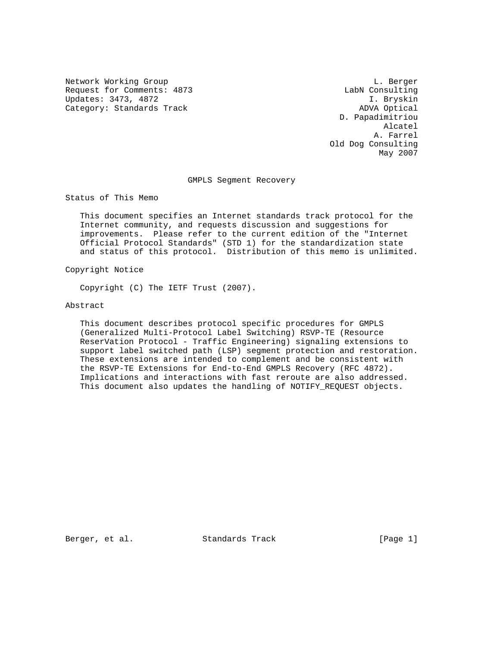Network Working Group and the contract of the contract of the contract of the contract of the contract of the contract of the contract of the contract of the contract of the contract of the contract of the contract of the Request for Comments: 4873 LabN Consulting<br>Updates: 3473, 4872 LabN Consulting<br>I. Bryskin Updates: 3473, 4872 Category: Standards Track ADVA Optical

 D. Papadimitriou Alcatel A. Farrel Old Dog Consulting May 2007

GMPLS Segment Recovery

Status of This Memo

 This document specifies an Internet standards track protocol for the Internet community, and requests discussion and suggestions for improvements. Please refer to the current edition of the "Internet Official Protocol Standards" (STD 1) for the standardization state and status of this protocol. Distribution of this memo is unlimited.

Copyright Notice

Copyright (C) The IETF Trust (2007).

Abstract

 This document describes protocol specific procedures for GMPLS (Generalized Multi-Protocol Label Switching) RSVP-TE (Resource ReserVation Protocol - Traffic Engineering) signaling extensions to support label switched path (LSP) segment protection and restoration. These extensions are intended to complement and be consistent with the RSVP-TE Extensions for End-to-End GMPLS Recovery (RFC 4872). Implications and interactions with fast reroute are also addressed. This document also updates the handling of NOTIFY\_REQUEST objects.

Berger, et al. Standards Track [Page 1]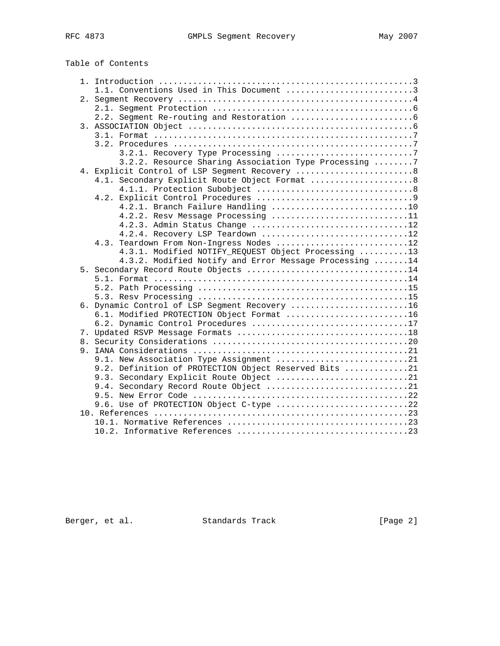| Table of Contents |  |
|-------------------|--|
|-------------------|--|

|  | 1.1. Conventions Used in This Document 3               |  |
|--|--------------------------------------------------------|--|
|  |                                                        |  |
|  |                                                        |  |
|  |                                                        |  |
|  |                                                        |  |
|  |                                                        |  |
|  |                                                        |  |
|  |                                                        |  |
|  | 3.2.2. Resource Sharing Association Type Processing 7  |  |
|  | 4. Explicit Control of LSP Segment Recovery  8         |  |
|  | 4.1. Secondary Explicit Route Object Format  8         |  |
|  |                                                        |  |
|  |                                                        |  |
|  | 4.2.1. Branch Failure Handling 10                      |  |
|  | 4.2.2. Resv Message Processing 11                      |  |
|  | 4.2.3. Admin Status Change 12                          |  |
|  | 4.2.4. Recovery LSP Teardown 12                        |  |
|  | 4.3. Teardown From Non-Ingress Nodes 12                |  |
|  | 4.3.1. Modified NOTIFY_REQUEST Object Processing 13    |  |
|  | 4.3.2. Modified Notify and Error Message Processing 14 |  |
|  | 5. Secondary Record Route Objects 14                   |  |
|  |                                                        |  |
|  |                                                        |  |
|  | 6. Dynamic Control of LSP Segment Recovery 16          |  |
|  | 6.1. Modified PROTECTION Object Format 16              |  |
|  | 6.2. Dynamic Control Procedures 17                     |  |
|  |                                                        |  |
|  |                                                        |  |
|  |                                                        |  |
|  | 9.1. New Association Type Assignment 21                |  |
|  | 9.2. Definition of PROTECTION Object Reserved Bits 21  |  |
|  | 9.3. Secondary Explicit Route Object 21                |  |
|  | 9.4. Secondary Record Route Object 21                  |  |
|  |                                                        |  |
|  | 9.6. Use of PROTECTION Object C-type 22                |  |
|  |                                                        |  |
|  |                                                        |  |
|  |                                                        |  |
|  |                                                        |  |

Berger, et al. Standards Track [Page 2]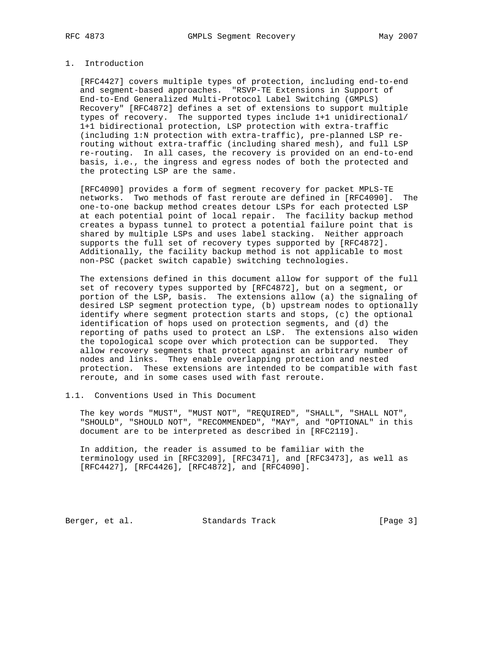## 1. Introduction

 [RFC4427] covers multiple types of protection, including end-to-end and segment-based approaches. "RSVP-TE Extensions in Support of End-to-End Generalized Multi-Protocol Label Switching (GMPLS) Recovery" [RFC4872] defines a set of extensions to support multiple types of recovery. The supported types include 1+1 unidirectional/ 1+1 bidirectional protection, LSP protection with extra-traffic (including 1:N protection with extra-traffic), pre-planned LSP re routing without extra-traffic (including shared mesh), and full LSP re-routing. In all cases, the recovery is provided on an end-to-end basis, i.e., the ingress and egress nodes of both the protected and the protecting LSP are the same.

 [RFC4090] provides a form of segment recovery for packet MPLS-TE networks. Two methods of fast reroute are defined in [RFC4090]. The one-to-one backup method creates detour LSPs for each protected LSP at each potential point of local repair. The facility backup method creates a bypass tunnel to protect a potential failure point that is shared by multiple LSPs and uses label stacking. Neither approach supports the full set of recovery types supported by [RFC4872]. Additionally, the facility backup method is not applicable to most non-PSC (packet switch capable) switching technologies.

 The extensions defined in this document allow for support of the full set of recovery types supported by [RFC4872], but on a segment, or portion of the LSP, basis. The extensions allow (a) the signaling of desired LSP segment protection type, (b) upstream nodes to optionally identify where segment protection starts and stops, (c) the optional identification of hops used on protection segments, and (d) the reporting of paths used to protect an LSP. The extensions also widen the topological scope over which protection can be supported. They allow recovery segments that protect against an arbitrary number of nodes and links. They enable overlapping protection and nested protection. These extensions are intended to be compatible with fast reroute, and in some cases used with fast reroute.

1.1. Conventions Used in This Document

 The key words "MUST", "MUST NOT", "REQUIRED", "SHALL", "SHALL NOT", "SHOULD", "SHOULD NOT", "RECOMMENDED", "MAY", and "OPTIONAL" in this document are to be interpreted as described in [RFC2119].

 In addition, the reader is assumed to be familiar with the terminology used in [RFC3209], [RFC3471], and [RFC3473], as well as [RFC4427], [RFC4426], [RFC4872], and [RFC4090].

Berger, et al. Standards Track [Page 3]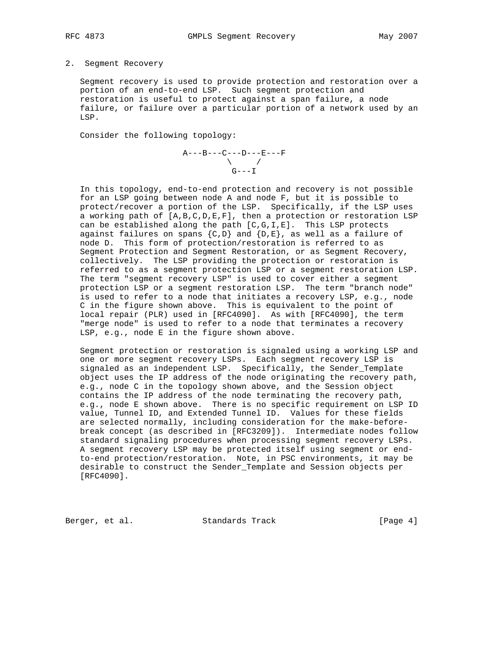#### 2. Segment Recovery

 Segment recovery is used to provide protection and restoration over a portion of an end-to-end LSP. Such segment protection and restoration is useful to protect against a span failure, a node failure, or failure over a particular portion of a network used by an LSP.

Consider the following topology:

$$
\begin{array}{c}\n\texttt{A---B---C---D---E---F} \\
\diagdown \\
\texttt{G---I}\n\end{array}
$$

 In this topology, end-to-end protection and recovery is not possible for an LSP going between node A and node F, but it is possible to protect/recover a portion of the LSP. Specifically, if the LSP uses a working path of [A,B,C,D,E,F], then a protection or restoration LSP can be established along the path [C,G,I,E]. This LSP protects against failures on spans  $\{C, D\}$  and  $\{D, E\}$ , as well as a failure of node D. This form of protection/restoration is referred to as Segment Protection and Segment Restoration, or as Segment Recovery, collectively. The LSP providing the protection or restoration is referred to as a segment protection LSP or a segment restoration LSP. The term "segment recovery LSP" is used to cover either a segment protection LSP or a segment restoration LSP. The term "branch node" is used to refer to a node that initiates a recovery LSP, e.g., node C in the figure shown above. This is equivalent to the point of local repair (PLR) used in [RFC4090]. As with [RFC4090], the term "merge node" is used to refer to a node that terminates a recovery LSP, e.g., node E in the figure shown above.

 Segment protection or restoration is signaled using a working LSP and one or more segment recovery LSPs. Each segment recovery LSP is signaled as an independent LSP. Specifically, the Sender\_Template object uses the IP address of the node originating the recovery path, e.g., node C in the topology shown above, and the Session object contains the IP address of the node terminating the recovery path, e.g., node E shown above. There is no specific requirement on LSP ID value, Tunnel ID, and Extended Tunnel ID. Values for these fields are selected normally, including consideration for the make-before break concept (as described in [RFC3209]). Intermediate nodes follow standard signaling procedures when processing segment recovery LSPs. A segment recovery LSP may be protected itself using segment or end to-end protection/restoration. Note, in PSC environments, it may be desirable to construct the Sender\_Template and Session objects per [RFC4090].

Berger, et al. Standards Track [Page 4]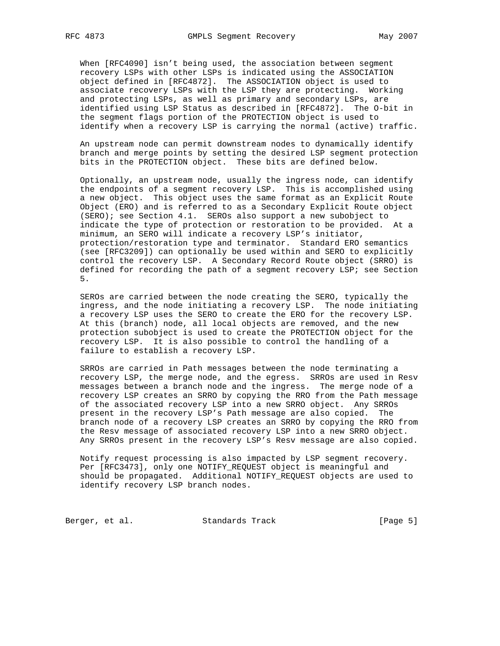When [RFC4090] isn't being used, the association between segment recovery LSPs with other LSPs is indicated using the ASSOCIATION object defined in [RFC4872]. The ASSOCIATION object is used to associate recovery LSPs with the LSP they are protecting. Working and protecting LSPs, as well as primary and secondary LSPs, are identified using LSP Status as described in [RFC4872]. The O-bit in the segment flags portion of the PROTECTION object is used to identify when a recovery LSP is carrying the normal (active) traffic.

 An upstream node can permit downstream nodes to dynamically identify branch and merge points by setting the desired LSP segment protection bits in the PROTECTION object. These bits are defined below.

 Optionally, an upstream node, usually the ingress node, can identify the endpoints of a segment recovery LSP. This is accomplished using a new object. This object uses the same format as an Explicit Route Object (ERO) and is referred to as a Secondary Explicit Route object (SERO); see Section 4.1. SEROs also support a new subobject to indicate the type of protection or restoration to be provided. At a minimum, an SERO will indicate a recovery LSP's initiator, protection/restoration type and terminator. Standard ERO semantics (see [RFC3209]) can optionally be used within and SERO to explicitly control the recovery LSP. A Secondary Record Route object (SRRO) is defined for recording the path of a segment recovery LSP; see Section 5.

 SEROs are carried between the node creating the SERO, typically the ingress, and the node initiating a recovery LSP. The node initiating a recovery LSP uses the SERO to create the ERO for the recovery LSP. At this (branch) node, all local objects are removed, and the new protection subobject is used to create the PROTECTION object for the recovery LSP. It is also possible to control the handling of a failure to establish a recovery LSP.

 SRROs are carried in Path messages between the node terminating a recovery LSP, the merge node, and the egress. SRROs are used in Resv messages between a branch node and the ingress. The merge node of a recovery LSP creates an SRRO by copying the RRO from the Path message of the associated recovery LSP into a new SRRO object. Any SRROs present in the recovery LSP's Path message are also copied. The branch node of a recovery LSP creates an SRRO by copying the RRO from the Resv message of associated recovery LSP into a new SRRO object. Any SRROs present in the recovery LSP's Resv message are also copied.

 Notify request processing is also impacted by LSP segment recovery. Per [RFC3473], only one NOTIFY\_REQUEST object is meaningful and should be propagated. Additional NOTIFY\_REQUEST objects are used to identify recovery LSP branch nodes.

Berger, et al. Standards Track [Page 5]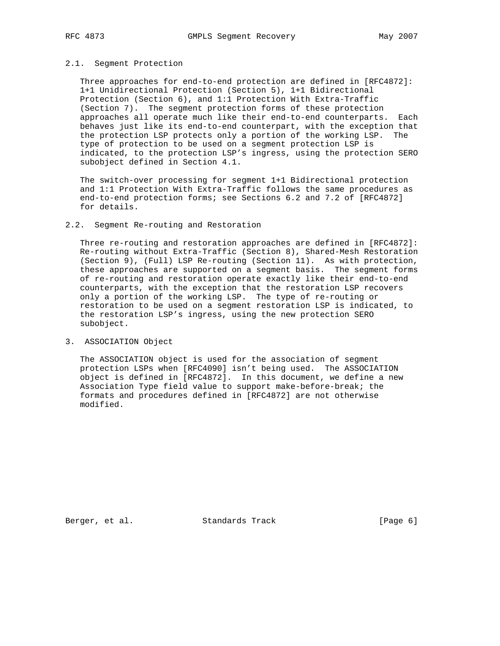#### 2.1. Segment Protection

 Three approaches for end-to-end protection are defined in [RFC4872]: 1+1 Unidirectional Protection (Section 5), 1+1 Bidirectional Protection (Section 6), and 1:1 Protection With Extra-Traffic (Section 7). The segment protection forms of these protection approaches all operate much like their end-to-end counterparts. Each behaves just like its end-to-end counterpart, with the exception that the protection LSP protects only a portion of the working LSP. The type of protection to be used on a segment protection LSP is indicated, to the protection LSP's ingress, using the protection SERO subobject defined in Section 4.1.

 The switch-over processing for segment 1+1 Bidirectional protection and 1:1 Protection With Extra-Traffic follows the same procedures as end-to-end protection forms; see Sections 6.2 and 7.2 of [RFC4872] for details.

## 2.2. Segment Re-routing and Restoration

 Three re-routing and restoration approaches are defined in [RFC4872]: Re-routing without Extra-Traffic (Section 8), Shared-Mesh Restoration (Section 9), (Full) LSP Re-routing (Section 11). As with protection, these approaches are supported on a segment basis. The segment forms of re-routing and restoration operate exactly like their end-to-end counterparts, with the exception that the restoration LSP recovers only a portion of the working LSP. The type of re-routing or restoration to be used on a segment restoration LSP is indicated, to the restoration LSP's ingress, using the new protection SERO subobject.

## 3. ASSOCIATION Object

 The ASSOCIATION object is used for the association of segment protection LSPs when [RFC4090] isn't being used. The ASSOCIATION object is defined in [RFC4872]. In this document, we define a new Association Type field value to support make-before-break; the formats and procedures defined in [RFC4872] are not otherwise modified.

Berger, et al. Standards Track [Page 6]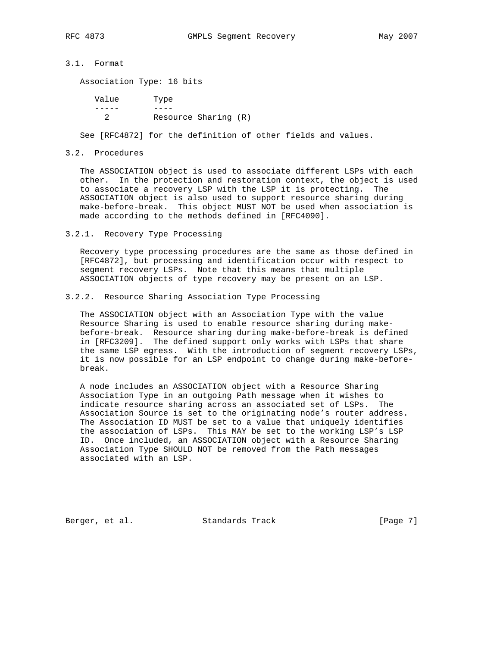3.1. Format

Association Type: 16 bits

 Value Type ----- ---- 2 Resource Sharing (R)

See [RFC4872] for the definition of other fields and values.

#### 3.2. Procedures

 The ASSOCIATION object is used to associate different LSPs with each other. In the protection and restoration context, the object is used to associate a recovery LSP with the LSP it is protecting. The ASSOCIATION object is also used to support resource sharing during make-before-break. This object MUST NOT be used when association is made according to the methods defined in [RFC4090].

#### 3.2.1. Recovery Type Processing

 Recovery type processing procedures are the same as those defined in [RFC4872], but processing and identification occur with respect to segment recovery LSPs. Note that this means that multiple ASSOCIATION objects of type recovery may be present on an LSP.

## 3.2.2. Resource Sharing Association Type Processing

 The ASSOCIATION object with an Association Type with the value Resource Sharing is used to enable resource sharing during make before-break. Resource sharing during make-before-break is defined in [RFC3209]. The defined support only works with LSPs that share the same LSP egress. With the introduction of segment recovery LSPs, it is now possible for an LSP endpoint to change during make-before break.

 A node includes an ASSOCIATION object with a Resource Sharing Association Type in an outgoing Path message when it wishes to indicate resource sharing across an associated set of LSPs. The Association Source is set to the originating node's router address. The Association ID MUST be set to a value that uniquely identifies the association of LSPs. This MAY be set to the working LSP's LSP ID. Once included, an ASSOCIATION object with a Resource Sharing Association Type SHOULD NOT be removed from the Path messages associated with an LSP.

Berger, et al. Standards Track [Page 7]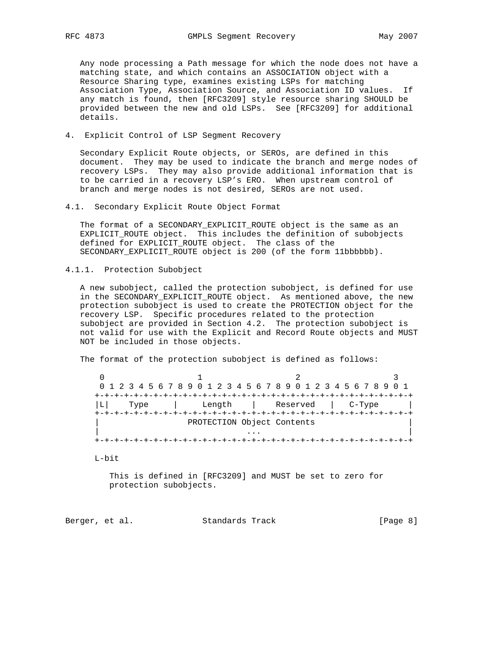Any node processing a Path message for which the node does not have a matching state, and which contains an ASSOCIATION object with a Resource Sharing type, examines existing LSPs for matching Association Type, Association Source, and Association ID values. If any match is found, then [RFC3209] style resource sharing SHOULD be provided between the new and old LSPs. See [RFC3209] for additional details.

4. Explicit Control of LSP Segment Recovery

 Secondary Explicit Route objects, or SEROs, are defined in this document. They may be used to indicate the branch and merge nodes of recovery LSPs. They may also provide additional information that is to be carried in a recovery LSP's ERO. When upstream control of branch and merge nodes is not desired, SEROs are not used.

4.1. Secondary Explicit Route Object Format

 The format of a SECONDARY\_EXPLICIT\_ROUTE object is the same as an EXPLICIT\_ROUTE object. This includes the definition of subobjects defined for EXPLICIT\_ROUTE object. The class of the SECONDARY\_EXPLICIT\_ROUTE object is 200 (of the form 11bbbbbb).

4.1.1. Protection Subobject

 A new subobject, called the protection subobject, is defined for use in the SECONDARY\_EXPLICIT\_ROUTE object. As mentioned above, the new protection subobject is used to create the PROTECTION object for the recovery LSP. Specific procedures related to the protection subobject are provided in Section 4.2. The protection subobject is not valid for use with the Explicit and Record Route objects and MUST NOT be included in those objects.

The format of the protection subobject is defined as follows:

0  $1$  2 3 0 1 2 3 4 5 6 7 8 9 0 1 2 3 4 5 6 7 8 9 0 1 2 3 4 5 6 7 8 9 0 1 +-+-+-+-+-+-+-+-+-+-+-+-+-+-+-+-+-+-+-+-+-+-+-+-+-+-+-+-+-+-+-+-+ |L| Type | Length | Reserved | C-Type | +-+-+-+-+-+-+-+-+-+-+-+-+-+-+-+-+-+-+-+-+-+-+-+-+-+-+-+-+-+-+-+-+ PROTECTION Object Contents | ... | ... | ... | ... | ... | ... | ... | ... | ... | ... | ... | ... | ... | ... | ... | ... | ... | ... | 1 +-+-+-+-+-+-+-+-+-+-+-+-+-+-+-+-+-+-+-+-+-+-+-+-+-+-+-+-+-+-+-+-+

L-bit

 This is defined in [RFC3209] and MUST be set to zero for protection subobjects.

Berger, et al. Standards Track [Page 8]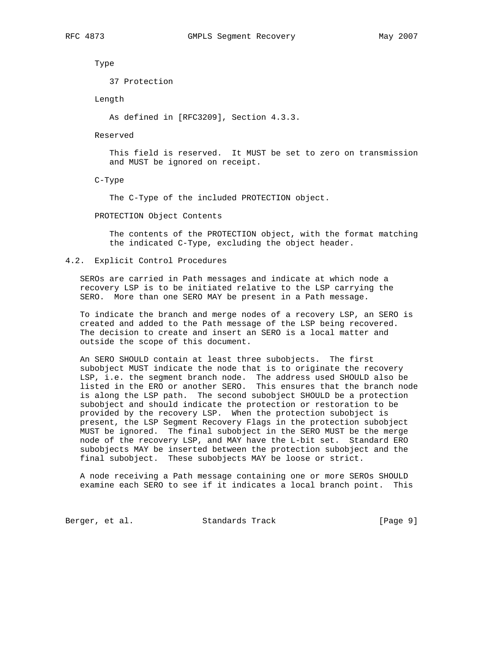Type

37 Protection

Length

As defined in [RFC3209], Section 4.3.3.

Reserved

 This field is reserved. It MUST be set to zero on transmission and MUST be ignored on receipt.

C-Type

The C-Type of the included PROTECTION object.

PROTECTION Object Contents

 The contents of the PROTECTION object, with the format matching the indicated C-Type, excluding the object header.

4.2. Explicit Control Procedures

 SEROs are carried in Path messages and indicate at which node a recovery LSP is to be initiated relative to the LSP carrying the SERO. More than one SERO MAY be present in a Path message.

 To indicate the branch and merge nodes of a recovery LSP, an SERO is created and added to the Path message of the LSP being recovered. The decision to create and insert an SERO is a local matter and outside the scope of this document.

 An SERO SHOULD contain at least three subobjects. The first subobject MUST indicate the node that is to originate the recovery LSP, i.e. the segment branch node. The address used SHOULD also be listed in the ERO or another SERO. This ensures that the branch node is along the LSP path. The second subobject SHOULD be a protection subobject and should indicate the protection or restoration to be provided by the recovery LSP. When the protection subobject is present, the LSP Segment Recovery Flags in the protection subobject MUST be ignored. The final subobject in the SERO MUST be the merge node of the recovery LSP, and MAY have the L-bit set. Standard ERO subobjects MAY be inserted between the protection subobject and the final subobject. These subobjects MAY be loose or strict.

 A node receiving a Path message containing one or more SEROs SHOULD examine each SERO to see if it indicates a local branch point. This

Berger, et al. Standards Track [Page 9]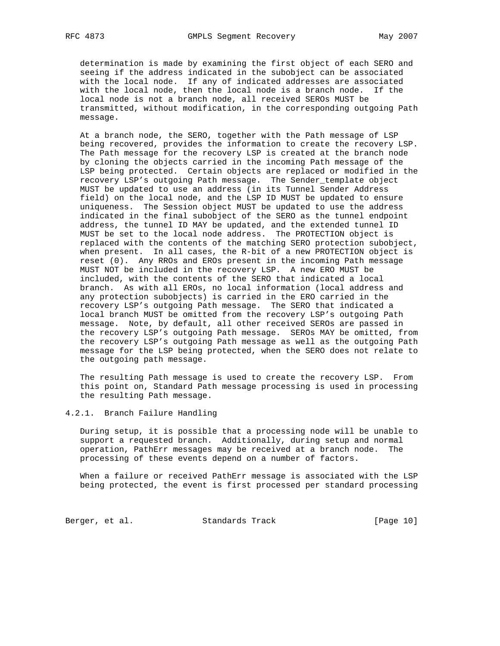determination is made by examining the first object of each SERO and seeing if the address indicated in the subobject can be associated with the local node. If any of indicated addresses are associated with the local node, then the local node is a branch node. If the local node is not a branch node, all received SEROs MUST be transmitted, without modification, in the corresponding outgoing Path message.

 At a branch node, the SERO, together with the Path message of LSP being recovered, provides the information to create the recovery LSP. The Path message for the recovery LSP is created at the branch node by cloning the objects carried in the incoming Path message of the LSP being protected. Certain objects are replaced or modified in the recovery LSP's outgoing Path message. The Sender\_template object MUST be updated to use an address (in its Tunnel Sender Address field) on the local node, and the LSP ID MUST be updated to ensure uniqueness. The Session object MUST be updated to use the address indicated in the final subobject of the SERO as the tunnel endpoint address, the tunnel ID MAY be updated, and the extended tunnel ID MUST be set to the local node address. The PROTECTION object is replaced with the contents of the matching SERO protection subobject, when present. In all cases, the R-bit of a new PROTECTION object is reset (0). Any RROs and EROs present in the incoming Path message MUST NOT be included in the recovery LSP. A new ERO MUST be included, with the contents of the SERO that indicated a local branch. As with all EROs, no local information (local address and any protection subobjects) is carried in the ERO carried in the recovery LSP's outgoing Path message. The SERO that indicated a local branch MUST be omitted from the recovery LSP's outgoing Path message. Note, by default, all other received SEROs are passed in the recovery LSP's outgoing Path message. SEROs MAY be omitted, from the recovery LSP's outgoing Path message as well as the outgoing Path message for the LSP being protected, when the SERO does not relate to the outgoing path message.

 The resulting Path message is used to create the recovery LSP. From this point on, Standard Path message processing is used in processing the resulting Path message.

## 4.2.1. Branch Failure Handling

 During setup, it is possible that a processing node will be unable to support a requested branch. Additionally, during setup and normal operation, PathErr messages may be received at a branch node. The processing of these events depend on a number of factors.

 When a failure or received PathErr message is associated with the LSP being protected, the event is first processed per standard processing

Berger, et al. Standards Track [Page 10]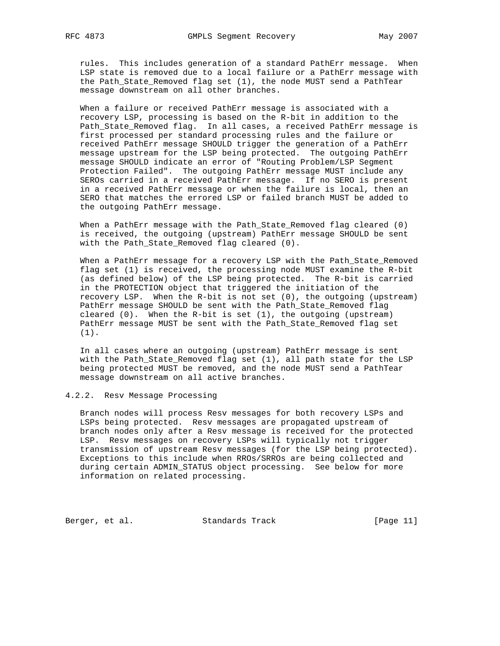rules. This includes generation of a standard PathErr message. When LSP state is removed due to a local failure or a PathErr message with the Path\_State\_Removed flag set (1), the node MUST send a PathTear message downstream on all other branches.

 When a failure or received PathErr message is associated with a recovery LSP, processing is based on the R-bit in addition to the Path\_State\_Removed flag. In all cases, a received PathErr message is first processed per standard processing rules and the failure or received PathErr message SHOULD trigger the generation of a PathErr message upstream for the LSP being protected. The outgoing PathErr message SHOULD indicate an error of "Routing Problem/LSP Segment Protection Failed". The outgoing PathErr message MUST include any SEROs carried in a received PathErr message. If no SERO is present in a received PathErr message or when the failure is local, then an SERO that matches the errored LSP or failed branch MUST be added to the outgoing PathErr message.

 When a PathErr message with the Path\_State\_Removed flag cleared (0) is received, the outgoing (upstream) PathErr message SHOULD be sent with the Path\_State\_Removed flag cleared (0).

 When a PathErr message for a recovery LSP with the Path\_State\_Removed flag set (1) is received, the processing node MUST examine the R-bit (as defined below) of the LSP being protected. The R-bit is carried in the PROTECTION object that triggered the initiation of the recovery LSP. When the R-bit is not set (0), the outgoing (upstream) PathErr message SHOULD be sent with the Path\_State\_Removed flag cleared (0). When the R-bit is set (1), the outgoing (upstream) PathErr message MUST be sent with the Path\_State\_Removed flag set (1).

 In all cases where an outgoing (upstream) PathErr message is sent with the Path\_State\_Removed flag set (1), all path state for the LSP being protected MUST be removed, and the node MUST send a PathTear message downstream on all active branches.

#### 4.2.2. Resv Message Processing

 Branch nodes will process Resv messages for both recovery LSPs and LSPs being protected. Resv messages are propagated upstream of branch nodes only after a Resv message is received for the protected LSP. Resv messages on recovery LSPs will typically not trigger transmission of upstream Resv messages (for the LSP being protected). Exceptions to this include when RROs/SRROs are being collected and during certain ADMIN\_STATUS object processing. See below for more information on related processing.

Berger, et al. Standards Track [Page 11]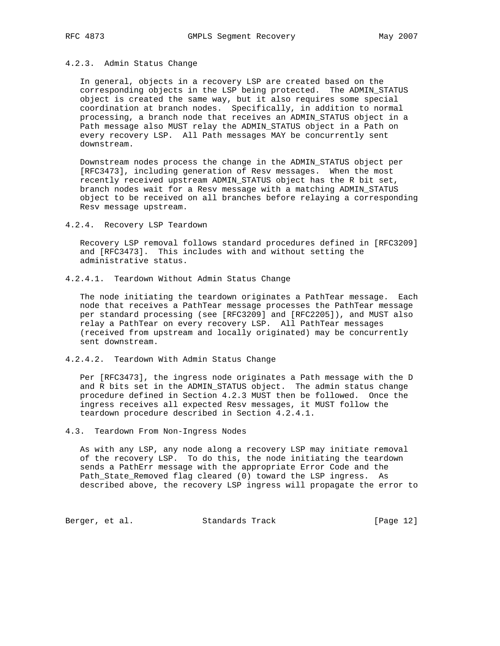## 4.2.3. Admin Status Change

 In general, objects in a recovery LSP are created based on the corresponding objects in the LSP being protected. The ADMIN\_STATUS object is created the same way, but it also requires some special coordination at branch nodes. Specifically, in addition to normal processing, a branch node that receives an ADMIN\_STATUS object in a Path message also MUST relay the ADMIN\_STATUS object in a Path on every recovery LSP. All Path messages MAY be concurrently sent downstream.

 Downstream nodes process the change in the ADMIN\_STATUS object per [RFC3473], including generation of Resv messages. When the most recently received upstream ADMIN\_STATUS object has the R bit set, branch nodes wait for a Resv message with a matching ADMIN\_STATUS object to be received on all branches before relaying a corresponding Resv message upstream.

4.2.4. Recovery LSP Teardown

 Recovery LSP removal follows standard procedures defined in [RFC3209] and [RFC3473]. This includes with and without setting the administrative status.

4.2.4.1. Teardown Without Admin Status Change

 The node initiating the teardown originates a PathTear message. Each node that receives a PathTear message processes the PathTear message per standard processing (see [RFC3209] and [RFC2205]), and MUST also relay a PathTear on every recovery LSP. All PathTear messages (received from upstream and locally originated) may be concurrently sent downstream.

4.2.4.2. Teardown With Admin Status Change

 Per [RFC3473], the ingress node originates a Path message with the D and R bits set in the ADMIN\_STATUS object. The admin status change procedure defined in Section 4.2.3 MUST then be followed. Once the ingress receives all expected Resv messages, it MUST follow the teardown procedure described in Section 4.2.4.1.

### 4.3. Teardown From Non-Ingress Nodes

 As with any LSP, any node along a recovery LSP may initiate removal of the recovery LSP. To do this, the node initiating the teardown sends a PathErr message with the appropriate Error Code and the Path\_State\_Removed flag cleared (0) toward the LSP ingress. As described above, the recovery LSP ingress will propagate the error to

Berger, et al. Standards Track [Page 12]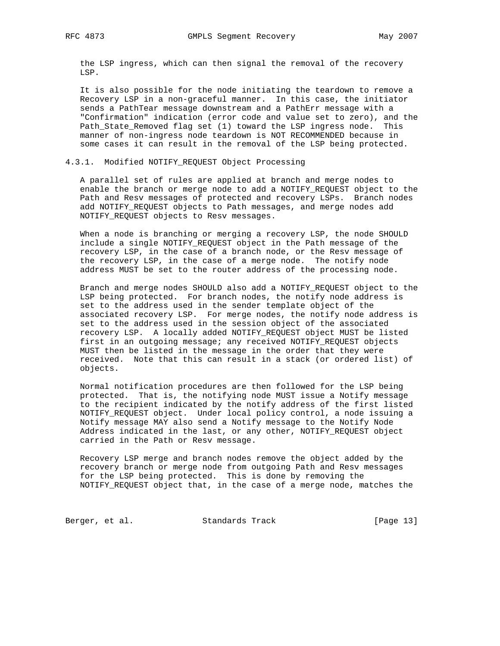the LSP ingress, which can then signal the removal of the recovery LSP.

 It is also possible for the node initiating the teardown to remove a Recovery LSP in a non-graceful manner. In this case, the initiator sends a PathTear message downstream and a PathErr message with a "Confirmation" indication (error code and value set to zero), and the Path\_State\_Removed flag set (1) toward the LSP ingress node. This manner of non-ingress node teardown is NOT RECOMMENDED because in some cases it can result in the removal of the LSP being protected.

#### 4.3.1. Modified NOTIFY\_REQUEST Object Processing

 A parallel set of rules are applied at branch and merge nodes to enable the branch or merge node to add a NOTIFY\_REQUEST object to the Path and Resv messages of protected and recovery LSPs. Branch nodes add NOTIFY\_REQUEST objects to Path messages, and merge nodes add NOTIFY\_REQUEST objects to Resv messages.

 When a node is branching or merging a recovery LSP, the node SHOULD include a single NOTIFY\_REQUEST object in the Path message of the recovery LSP, in the case of a branch node, or the Resv message of the recovery LSP, in the case of a merge node. The notify node address MUST be set to the router address of the processing node.

 Branch and merge nodes SHOULD also add a NOTIFY\_REQUEST object to the LSP being protected. For branch nodes, the notify node address is set to the address used in the sender template object of the associated recovery LSP. For merge nodes, the notify node address is set to the address used in the session object of the associated recovery LSP. A locally added NOTIFY\_REQUEST object MUST be listed first in an outgoing message; any received NOTIFY\_REQUEST objects MUST then be listed in the message in the order that they were received. Note that this can result in a stack (or ordered list) of objects.

 Normal notification procedures are then followed for the LSP being protected. That is, the notifying node MUST issue a Notify message to the recipient indicated by the notify address of the first listed NOTIFY\_REQUEST object. Under local policy control, a node issuing a Notify message MAY also send a Notify message to the Notify Node Address indicated in the last, or any other, NOTIFY\_REQUEST object carried in the Path or Resv message.

 Recovery LSP merge and branch nodes remove the object added by the recovery branch or merge node from outgoing Path and Resv messages for the LSP being protected. This is done by removing the NOTIFY\_REQUEST object that, in the case of a merge node, matches the

Berger, et al. Standards Track [Page 13]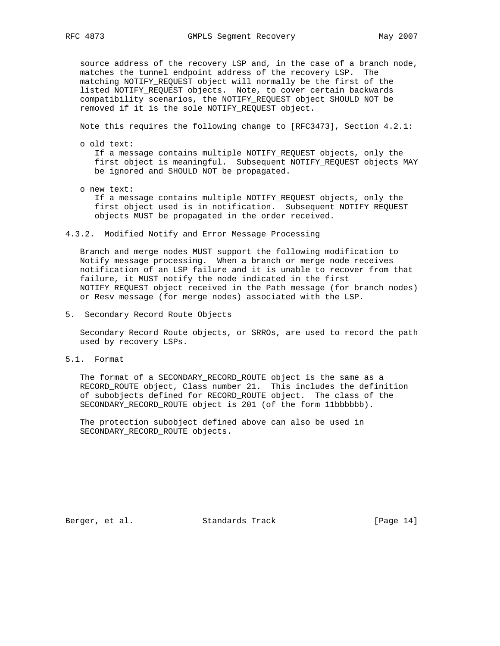source address of the recovery LSP and, in the case of a branch node, matches the tunnel endpoint address of the recovery LSP. The matching NOTIFY\_REQUEST object will normally be the first of the listed NOTIFY\_REQUEST objects. Note, to cover certain backwards compatibility scenarios, the NOTIFY\_REQUEST object SHOULD NOT be removed if it is the sole NOTIFY\_REQUEST object.

Note this requires the following change to [RFC3473], Section 4.2.1:

o old text:

 If a message contains multiple NOTIFY\_REQUEST objects, only the first object is meaningful. Subsequent NOTIFY\_REQUEST objects MAY be ignored and SHOULD NOT be propagated.

- o new text: If a message contains multiple NOTIFY\_REQUEST objects, only the first object used is in notification. Subsequent NOTIFY\_REQUEST objects MUST be propagated in the order received.
- 4.3.2. Modified Notify and Error Message Processing

 Branch and merge nodes MUST support the following modification to Notify message processing. When a branch or merge node receives notification of an LSP failure and it is unable to recover from that failure, it MUST notify the node indicated in the first NOTIFY\_REQUEST object received in the Path message (for branch nodes) or Resv message (for merge nodes) associated with the LSP.

5. Secondary Record Route Objects

 Secondary Record Route objects, or SRROs, are used to record the path used by recovery LSPs.

5.1. Format

 The format of a SECONDARY\_RECORD\_ROUTE object is the same as a RECORD\_ROUTE object, Class number 21. This includes the definition of subobjects defined for RECORD\_ROUTE object. The class of the SECONDARY\_RECORD\_ROUTE object is 201 (of the form 11bbbbbb).

 The protection subobject defined above can also be used in SECONDARY\_RECORD\_ROUTE objects.

Berger, et al. Standards Track [Page 14]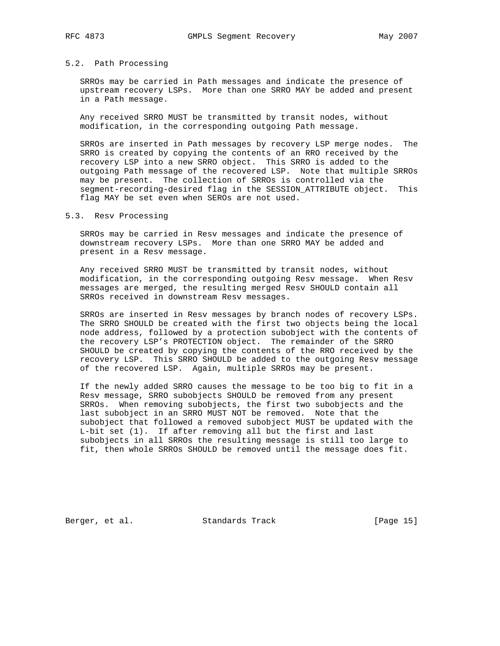#### 5.2. Path Processing

 SRROs may be carried in Path messages and indicate the presence of upstream recovery LSPs. More than one SRRO MAY be added and present in a Path message.

 Any received SRRO MUST be transmitted by transit nodes, without modification, in the corresponding outgoing Path message.

 SRROs are inserted in Path messages by recovery LSP merge nodes. The SRRO is created by copying the contents of an RRO received by the recovery LSP into a new SRRO object. This SRRO is added to the outgoing Path message of the recovered LSP. Note that multiple SRROs may be present. The collection of SRROs is controlled via the segment-recording-desired flag in the SESSION\_ATTRIBUTE object. This flag MAY be set even when SEROs are not used.

### 5.3. Resv Processing

 SRROs may be carried in Resv messages and indicate the presence of downstream recovery LSPs. More than one SRRO MAY be added and present in a Resv message.

 Any received SRRO MUST be transmitted by transit nodes, without modification, in the corresponding outgoing Resv message. When Resv messages are merged, the resulting merged Resv SHOULD contain all SRROs received in downstream Resv messages.

 SRROs are inserted in Resv messages by branch nodes of recovery LSPs. The SRRO SHOULD be created with the first two objects being the local node address, followed by a protection subobject with the contents of the recovery LSP's PROTECTION object. The remainder of the SRRO SHOULD be created by copying the contents of the RRO received by the recovery LSP. This SRRO SHOULD be added to the outgoing Resv message of the recovered LSP. Again, multiple SRROs may be present.

 If the newly added SRRO causes the message to be too big to fit in a Resv message, SRRO subobjects SHOULD be removed from any present SRROs. When removing subobjects, the first two subobjects and the last subobject in an SRRO MUST NOT be removed. Note that the subobject that followed a removed subobject MUST be updated with the L-bit set (1). If after removing all but the first and last subobjects in all SRROs the resulting message is still too large to fit, then whole SRROs SHOULD be removed until the message does fit.

Berger, et al. Standards Track [Page 15]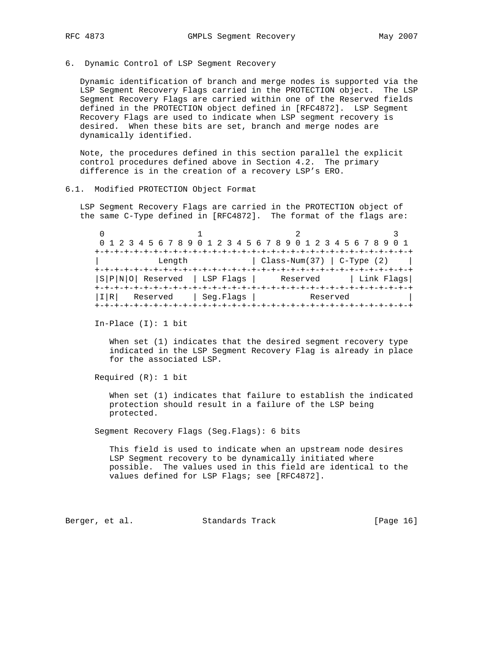6. Dynamic Control of LSP Segment Recovery

 Dynamic identification of branch and merge nodes is supported via the LSP Segment Recovery Flags carried in the PROTECTION object. The LSP Segment Recovery Flags are carried within one of the Reserved fields defined in the PROTECTION object defined in [RFC4872]. LSP Segment Recovery Flags are used to indicate when LSP segment recovery is desired. When these bits are set, branch and merge nodes are dynamically identified.

 Note, the procedures defined in this section parallel the explicit control procedures defined above in Section 4.2. The primary difference is in the creation of a recovery LSP's ERO.

## 6.1. Modified PROTECTION Object Format

 LSP Segment Recovery Flags are carried in the PROTECTION object of the same C-Type defined in [RFC4872]. The format of the flags are:

 $0$  1 2 3 0 1 2 3 4 5 6 7 8 9 0 1 2 3 4 5 6 7 8 9 0 1 2 3 4 5 6 7 8 9 0 1 +-+-+-+-+-+-+-+-+-+-+-+-+-+-+-+-+-+-+-+-+-+-+-+-+-+-+-+-+-+-+-+-+  $Length$  |  $Class-Num(37)$  |  $C-Type(2)$  | +-+-+-+-+-+-+-+-+-+-+-+-+-+-+-+-+-+-+-+-+-+-+-+-+-+-+-+-+-+-+-+-+ |S|P|N|O| Reserved | LSP Flags | Reserved | Link Flags| +-+-+-+-+-+-+-+-+-+-+-+-+-+-+-+-+-+-+-+-+-+-+-+-+-+-+-+-+-+-+-+-+ |I|R| Reserved | Seg.Flags | Reserved | +-+-+-+-+-+-+-+-+-+-+-+-+-+-+-+-+-+-+-+-+-+-+-+-+-+-+-+-+-+-+-+-+

In-Place (I): 1 bit

 When set (1) indicates that the desired segment recovery type indicated in the LSP Segment Recovery Flag is already in place for the associated LSP.

Required (R): 1 bit

 When set (1) indicates that failure to establish the indicated protection should result in a failure of the LSP being protected.

Segment Recovery Flags (Seg.Flags): 6 bits

 This field is used to indicate when an upstream node desires LSP Segment recovery to be dynamically initiated where possible. The values used in this field are identical to the values defined for LSP Flags; see [RFC4872].

Berger, et al. Standards Track [Page 16]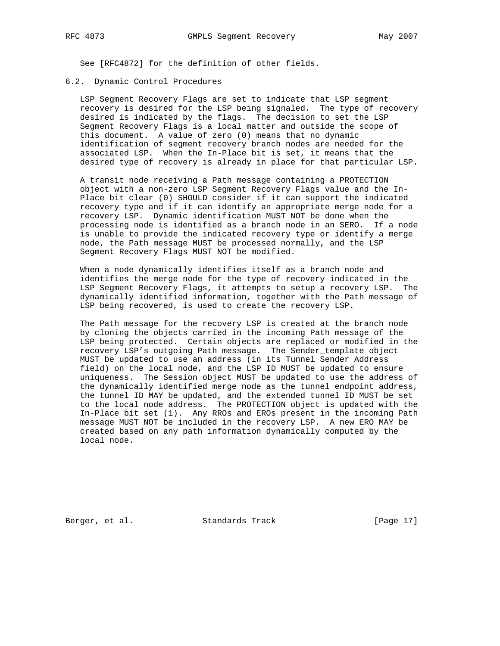See [RFC4872] for the definition of other fields.

### 6.2. Dynamic Control Procedures

 LSP Segment Recovery Flags are set to indicate that LSP segment recovery is desired for the LSP being signaled. The type of recovery desired is indicated by the flags. The decision to set the LSP Segment Recovery Flags is a local matter and outside the scope of this document. A value of zero (0) means that no dynamic identification of segment recovery branch nodes are needed for the associated LSP. When the In-Place bit is set, it means that the desired type of recovery is already in place for that particular LSP.

 A transit node receiving a Path message containing a PROTECTION object with a non-zero LSP Segment Recovery Flags value and the In- Place bit clear (0) SHOULD consider if it can support the indicated recovery type and if it can identify an appropriate merge node for a recovery LSP. Dynamic identification MUST NOT be done when the processing node is identified as a branch node in an SERO. If a node is unable to provide the indicated recovery type or identify a merge node, the Path message MUST be processed normally, and the LSP Segment Recovery Flags MUST NOT be modified.

 When a node dynamically identifies itself as a branch node and identifies the merge node for the type of recovery indicated in the LSP Segment Recovery Flags, it attempts to setup a recovery LSP. The dynamically identified information, together with the Path message of LSP being recovered, is used to create the recovery LSP.

 The Path message for the recovery LSP is created at the branch node by cloning the objects carried in the incoming Path message of the LSP being protected. Certain objects are replaced or modified in the recovery LSP's outgoing Path message. The Sender\_template object MUST be updated to use an address (in its Tunnel Sender Address field) on the local node, and the LSP ID MUST be updated to ensure uniqueness. The Session object MUST be updated to use the address of the dynamically identified merge node as the tunnel endpoint address, the tunnel ID MAY be updated, and the extended tunnel ID MUST be set to the local node address. The PROTECTION object is updated with the In-Place bit set (1). Any RROs and EROs present in the incoming Path message MUST NOT be included in the recovery LSP. A new ERO MAY be created based on any path information dynamically computed by the local node.

Berger, et al. Standards Track [Page 17]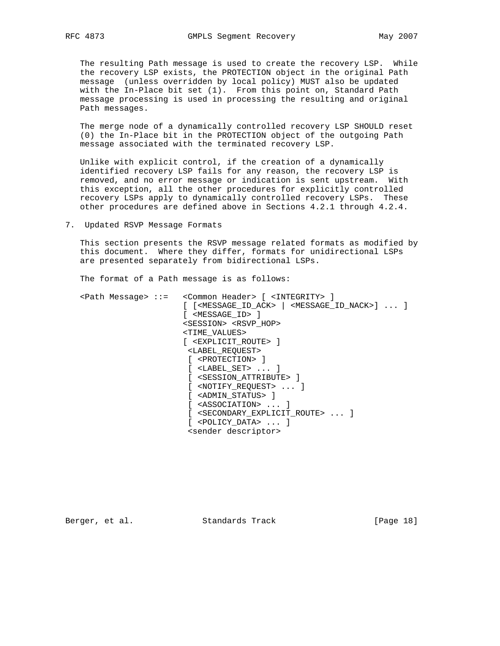The resulting Path message is used to create the recovery LSP. While the recovery LSP exists, the PROTECTION object in the original Path message (unless overridden by local policy) MUST also be updated with the In-Place bit set (1). From this point on, Standard Path message processing is used in processing the resulting and original Path messages.

 The merge node of a dynamically controlled recovery LSP SHOULD reset (0) the In-Place bit in the PROTECTION object of the outgoing Path message associated with the terminated recovery LSP.

 Unlike with explicit control, if the creation of a dynamically identified recovery LSP fails for any reason, the recovery LSP is removed, and no error message or indication is sent upstream. With this exception, all the other procedures for explicitly controlled recovery LSPs apply to dynamically controlled recovery LSPs. These other procedures are defined above in Sections 4.2.1 through 4.2.4.

7. Updated RSVP Message Formats

 This section presents the RSVP message related formats as modified by this document. Where they differ, formats for unidirectional LSPs are presented separately from bidirectional LSPs.

The format of a Path message is as follows:

| <path message=""> ::= <common header=""> [<integrity> ]</integrity></common></path>                                       |
|---------------------------------------------------------------------------------------------------------------------------|
| $[$ $[$ <message_id_ack> <math>]</math> <message_id_nack><math>]</math> <math>]</math></message_id_nack></message_id_ack> |
| [ <message_id> ]</message_id>                                                                                             |
| <session> <rsvp hop=""></rsvp></session>                                                                                  |
| <time values=""></time>                                                                                                   |
| [ <explicit route=""> ]</explicit>                                                                                        |
| <label_request></label_request>                                                                                           |
| [ <protection> ]</protection>                                                                                             |
| [ <label set="">  ]</label>                                                                                               |
| [ <session attribute=""> ]</session>                                                                                      |
| $[$ <notify request=""> <math>\ldots</math> ]</notify>                                                                    |
| [ <admin status=""> ]</admin>                                                                                             |
| <association>  1</association>                                                                                            |
| [ <secondary_explicit_route>  ]</secondary_explicit_route>                                                                |
| [ <policy data="">  ]</policy>                                                                                            |
| <sender descriptor=""></sender>                                                                                           |

Berger, et al. Standards Track [Page 18]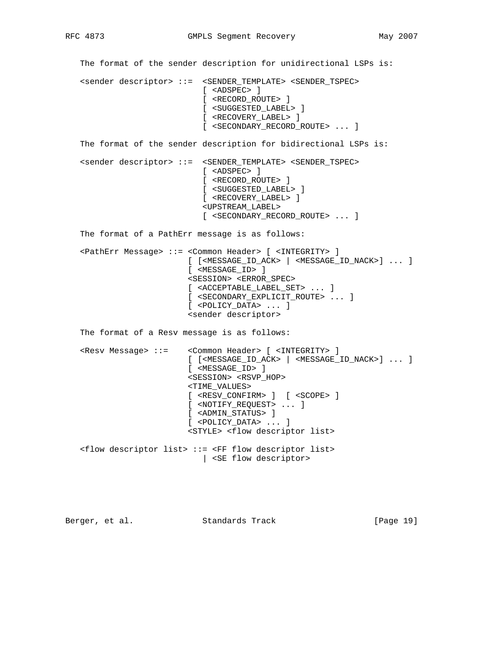The format of the sender description for unidirectional LSPs is: <sender descriptor> ::= <SENDER\_TEMPLATE> <SENDER\_TSPEC> [ <ADSPEC> ] [ <RECORD\_ROUTE> ] [ <SUGGESTED\_LABEL> ] [ <RECOVERY\_LABEL> ] [ <SECONDARY\_RECORD\_ROUTE> ... ] The format of the sender description for bidirectional LSPs is: <sender descriptor> ::= <SENDER\_TEMPLATE> <SENDER\_TSPEC> [ <ADSPEC> ] [ <RECORD\_ROUTE> ] [ <SUGGESTED\_LABEL> ] [ <RECOVERY\_LABEL> ] <UPSTREAM\_LABEL> [ <SECONDARY\_RECORD\_ROUTE> ... ] The format of a PathErr message is as follows: <PathErr Message> ::= <Common Header> [ <INTEGRITY> ] [ [<MESSAGE\_ID\_ACK> | <MESSAGE\_ID\_NACK>] ... ] [ <MESSAGE\_ID> ] <SESSION> <ERROR\_SPEC> [ <ACCEPTABLE\_LABEL\_SET> ... ] [ <SECONDARY\_EXPLICIT\_ROUTE> ... ] [ <POLICY\_DATA> ... ] <sender descriptor> The format of a Resv message is as follows: <Resv Message> ::= <Common Header> [ <INTEGRITY> ] [ [<MESSAGE\_ID\_ACK> | <MESSAGE\_ID\_NACK>] ... ] [ <MESSAGE\_ID> ] <SESSION> <RSVP\_HOP> <TIME\_VALUES> [ <RESV\_CONFIRM> ] [ <SCOPE> ] [ <NOTIFY\_REQUEST> ... ] [ <ADMIN\_STATUS> ] [ <POLICY\_DATA> ... ] <STYLE> <flow descriptor list> <flow descriptor list> ::= <FF flow descriptor list> | <SE flow descriptor>

Berger, et al. Standards Track [Page 19]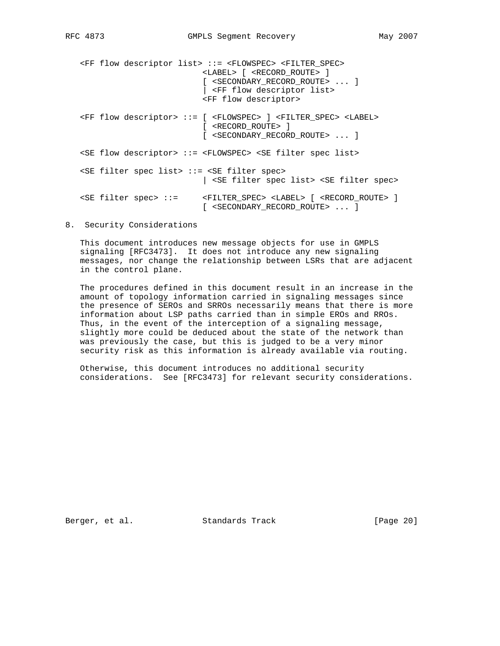<FF flow descriptor list> ::= <FLOWSPEC> <FILTER\_SPEC> <LABEL> [ <RECORD\_ROUTE> ] [ <SECONDARY\_RECORD\_ROUTE> ... ] | <FF flow descriptor list> <FF flow descriptor> <FF flow descriptor> ::= [ <FLOWSPEC> ] <FILTER\_SPEC> <LABEL> [ <RECORD\_ROUTE> ] [ <SECONDARY\_RECORD\_ROUTE> ... ] <SE flow descriptor> ::= <FLOWSPEC> <SE filter spec list> <SE filter spec list> ::= <SE filter spec> | <SE filter spec list> <SE filter spec> <SE filter spec> ::= <FILTER\_SPEC> <LABEL> [ <RECORD\_ROUTE> ] [ <SECONDARY\_RECORD\_ROUTE> ... ]

# 8. Security Considerations

 This document introduces new message objects for use in GMPLS signaling [RFC3473]. It does not introduce any new signaling messages, nor change the relationship between LSRs that are adjacent in the control plane.

 The procedures defined in this document result in an increase in the amount of topology information carried in signaling messages since the presence of SEROs and SRROs necessarily means that there is more information about LSP paths carried than in simple EROs and RROs. Thus, in the event of the interception of a signaling message, slightly more could be deduced about the state of the network than was previously the case, but this is judged to be a very minor security risk as this information is already available via routing.

 Otherwise, this document introduces no additional security considerations. See [RFC3473] for relevant security considerations.

Berger, et al. Standards Track [Page 20]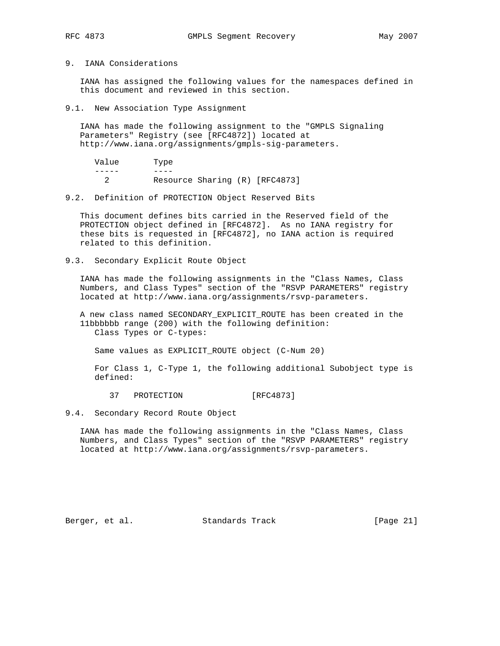## 9. IANA Considerations

 IANA has assigned the following values for the namespaces defined in this document and reviewed in this section.

9.1. New Association Type Assignment

 IANA has made the following assignment to the "GMPLS Signaling Parameters" Registry (see [RFC4872]) located at http://www.iana.org/assignments/gmpls-sig-parameters.

| Value | Type                           |  |
|-------|--------------------------------|--|
|       |                                |  |
|       | Resource Sharing (R) [RFC4873] |  |

#### 9.2. Definition of PROTECTION Object Reserved Bits

 This document defines bits carried in the Reserved field of the PROTECTION object defined in [RFC4872]. As no IANA registry for these bits is requested in [RFC4872], no IANA action is required related to this definition.

9.3. Secondary Explicit Route Object

 IANA has made the following assignments in the "Class Names, Class Numbers, and Class Types" section of the "RSVP PARAMETERS" registry located at http://www.iana.org/assignments/rsvp-parameters.

 A new class named SECONDARY\_EXPLICIT\_ROUTE has been created in the 11bbbbbb range (200) with the following definition: Class Types or C-types:

Same values as EXPLICIT\_ROUTE object (C-Num 20)

 For Class 1, C-Type 1, the following additional Subobject type is defined:

37 PROTECTION [RFC4873]

## 9.4. Secondary Record Route Object

 IANA has made the following assignments in the "Class Names, Class Numbers, and Class Types" section of the "RSVP PARAMETERS" registry located at http://www.iana.org/assignments/rsvp-parameters.

Berger, et al. Standards Track [Page 21]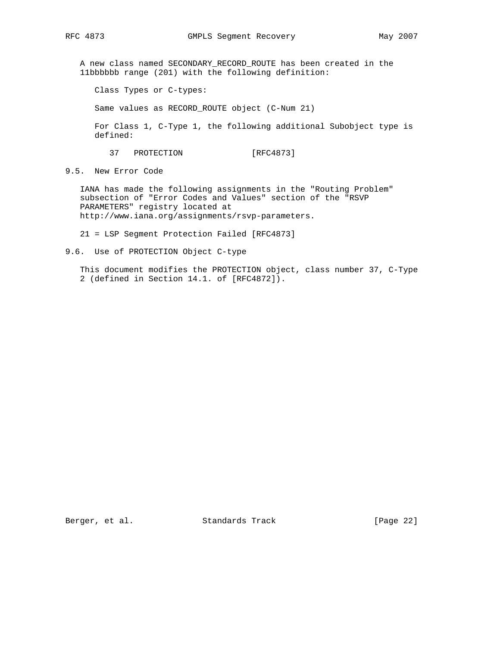A new class named SECONDARY\_RECORD\_ROUTE has been created in the 11bbbbbb range (201) with the following definition:

Class Types or C-types:

Same values as RECORD\_ROUTE object (C-Num 21)

 For Class 1, C-Type 1, the following additional Subobject type is defined:

37 PROTECTION [RFC4873]

9.5. New Error Code

 IANA has made the following assignments in the "Routing Problem" subsection of "Error Codes and Values" section of the "RSVP PARAMETERS" registry located at http://www.iana.org/assignments/rsvp-parameters.

21 = LSP Segment Protection Failed [RFC4873]

9.6. Use of PROTECTION Object C-type

 This document modifies the PROTECTION object, class number 37, C-Type 2 (defined in Section 14.1. of [RFC4872]).

Berger, et al. Standards Track [Page 22]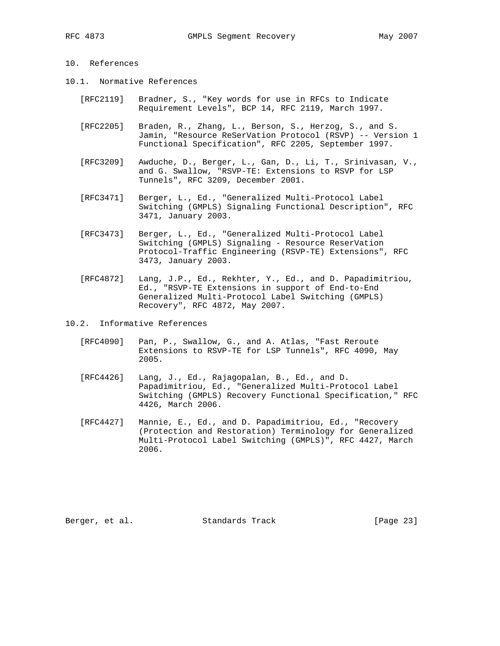# 10. References

- 10.1. Normative References
	- [RFC2119] Bradner, S., "Key words for use in RFCs to Indicate Requirement Levels", BCP 14, RFC 2119, March 1997.
	- [RFC2205] Braden, R., Zhang, L., Berson, S., Herzog, S., and S. Jamin, "Resource ReSerVation Protocol (RSVP) -- Version 1 Functional Specification", RFC 2205, September 1997.
	- [RFC3209] Awduche, D., Berger, L., Gan, D., Li, T., Srinivasan, V., and G. Swallow, "RSVP-TE: Extensions to RSVP for LSP Tunnels", RFC 3209, December 2001.
	- [RFC3471] Berger, L., Ed., "Generalized Multi-Protocol Label Switching (GMPLS) Signaling Functional Description", RFC 3471, January 2003.
	- [RFC3473] Berger, L., Ed., "Generalized Multi-Protocol Label Switching (GMPLS) Signaling - Resource ReserVation Protocol-Traffic Engineering (RSVP-TE) Extensions", RFC 3473, January 2003.
	- [RFC4872] Lang, J.P., Ed., Rekhter, Y., Ed., and D. Papadimitriou, Ed., "RSVP-TE Extensions in support of End-to-End Generalized Multi-Protocol Label Switching (GMPLS) Recovery", RFC 4872, May 2007.
- 10.2. Informative References
	- [RFC4090] Pan, P., Swallow, G., and A. Atlas, "Fast Reroute Extensions to RSVP-TE for LSP Tunnels", RFC 4090, May 2005.
	- [RFC4426] Lang, J., Ed., Rajagopalan, B., Ed., and D. Papadimitriou, Ed., "Generalized Multi-Protocol Label Switching (GMPLS) Recovery Functional Specification," RFC 4426, March 2006.
	- [RFC4427] Mannie, E., Ed., and D. Papadimitriou, Ed., "Recovery (Protection and Restoration) Terminology for Generalized Multi-Protocol Label Switching (GMPLS)", RFC 4427, March 2006.

Berger, et al. Standards Track [Page 23]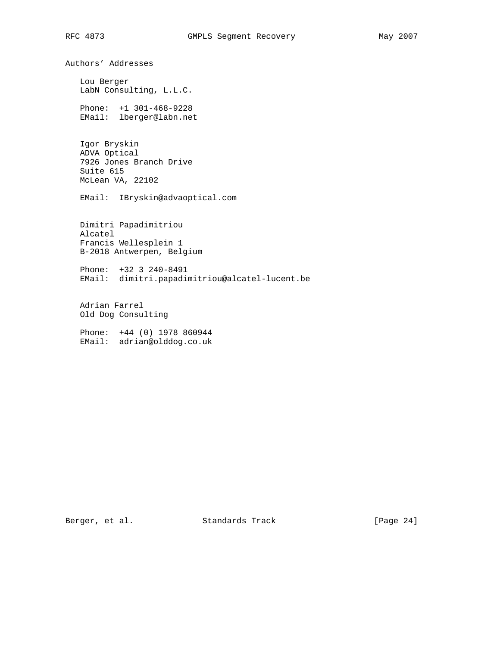Authors' Addresses Lou Berger LabN Consulting, L.L.C. Phone: +1 301-468-9228 EMail: lberger@labn.net Igor Bryskin ADVA Optical 7926 Jones Branch Drive Suite 615 McLean VA, 22102 EMail: IBryskin@advaoptical.com Dimitri Papadimitriou Alcatel Francis Wellesplein 1 B-2018 Antwerpen, Belgium Phone: +32 3 240-8491 EMail: dimitri.papadimitriou@alcatel-lucent.be Adrian Farrel Old Dog Consulting Phone: +44 (0) 1978 860944 EMail: adrian@olddog.co.uk

Berger, et al. Standards Track [Page 24]